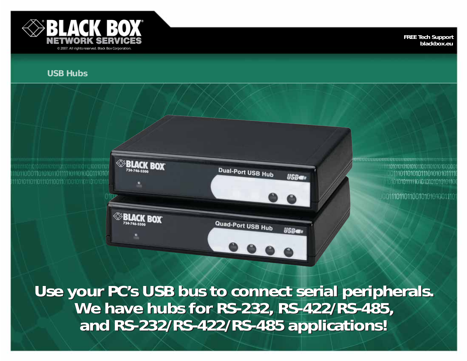

**SBLACK** 

724-744-55

**ELACK BOX** 

BOX

**FREE Tech Support blackbox.eu**

# **USB Hubs**

110101101101110110011010010110110101011

0111011010101110101010111 10101011111010101010101011 101110110110010101010111

**Use your PC's USB bus to connect serial peripherals. Use your PC's USB bus to connect serial peripherals. We have hubs for RS-232, RS-422/RS-485, We have hubs for RS-232, RS-422/RS-485, and RS-232/RS-422/RS-485 applications! and RS-232/RS-422/RS-485 applications!**

Dual-Port USB Hub

Quad-Port USB Hub

**USBer** 

**USB**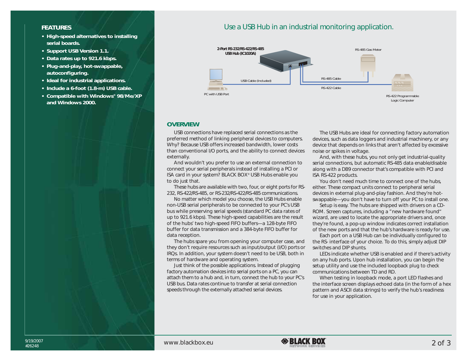### **FEATURES**

- **• High-speed alternatives to installing serial boards.**
- **• Support USB Version 1.1.**
- **• Data rates up to 921.6 kbps.**
- **• Plug-and-play, hot-swappable, autoconfiguring.**
- **• Ideal for industrial applications.**
- **• Include a 6-foot (1.8-m) USB cable.**
- **• Compatible with Windows® 98/Me/XP and Windows 2000.**

# *Use a USB Hub in an industrial monitoring application.*



#### **OVERVIEW**

USB connections have replaced serial connections as the preferred method of linking peripheral devices to computers. Why? Because USB offers increased bandwidth, lower costs than conventional I/O ports, and the ability to connect devices externally.

And wouldn't you prefer to use an external connection to connect your serial peripherals instead of installing a PCI or ISA card in your system? BLACK BOX® USB Hubs enable you to do just that.

These hubs are available with two, four, or eight ports for RS-232, RS-422/RS-485, or RS-232/RS-422/RS-485 communications.

No matter which model you choose, the USB Hubs enable non-USB serial peripherals to be connected to your PC's USB bus while preserving serial speeds (standard PC data rates of up to 921.6 kbps). These high-speed capabilities are the result of the hubs' two high-speed FIFO buffers—a 128-byte FIFO buffer for data transmission and a 384-byte FIFO buffer for data reception.

The hubs spare you from opening your computer case, and they don't require resources such as input/output (I/O) ports or IRQs. In addition, your system doesn't need to be USB, both in terms of hardware and operating system.

Just think of the possible applications. Instead of plugging factory automation devices into serial ports on a PC, you can attach them to a hub and, in turn, connect the hub to your PC's USB bus. Data rates continue to transfer at serial connection speeds through the externally attached serial devices.

The USB Hubs are ideal for connecting factory automation devices, such as data loggers and industrial machinery, or any device that depends on links that aren't affected by excessive noise or spikes in voltage.

And, with these hubs, you not only get industrial-quality serial connections, but automatic RS-485 data enable/disable along with a DB9 connector that's compatible with PCI and ISA RS-422 products.

You don't need much time to connect one of the hubs, either. These compact units connect to peripheral serial devices in external plug-and-play fashion. And they're hotswappable—you don't have to turn off your PC to install one.

Setup is easy. The hubs are shipped with drivers on a CD-ROM. Screen captures, including a "new hardware found" wizard, are used to locate the appropriate drivers and, once they're found, a pop-up window indicates correct installation of the new ports and that the hub's hardware is ready for use.

Each port on a USB Hub can be individually configured to the RS- interface of your choice. To do this, simply adjust DIP switches and DIP shunts.

LEDs indicate whether USB is enabled and if there's activity on any hub ports. Upon hub installation, you can begin the setup utility and use the included loopback plug to check communications between TD and RD.

When testing in loopback mode, a port LED flashes and the interface screen displays echoed data (in the form of a hex pattern and ASCII data strings) to verify the hub's readiness for use in your application.